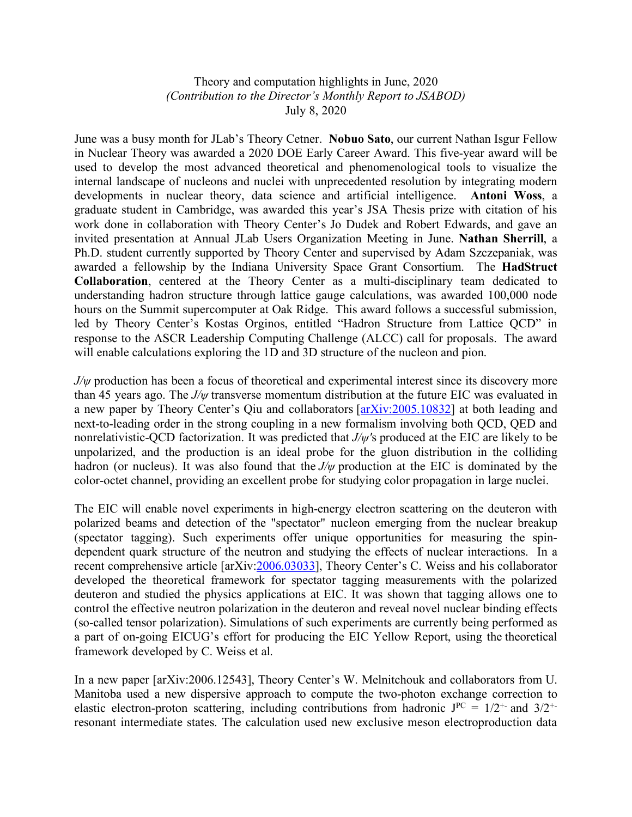## Theory and computation highlights in June, 2020 *(Contribution to the Director's Monthly Report to JSABOD)* July 8, 2020

June was a busy month for JLab's Theory Cetner. **Nobuo Sato**, our current Nathan Isgur Fellow in Nuclear Theory was awarded a 2020 DOE Early Career Award. This five-year award will be used to develop the most advanced theoretical and phenomenological tools to visualize the internal landscape of nucleons and nuclei with unprecedented resolution by integrating modern developments in nuclear theory, data science and artificial intelligence. **Antoni Woss**, a graduate student in Cambridge, was awarded this year's JSA Thesis prize with citation of his work done in collaboration with Theory Center's Jo Dudek and Robert Edwards, and gave an invited presentation at Annual JLab Users Organization Meeting in June. **Nathan Sherrill**, a Ph.D. student currently supported by Theory Center and supervised by Adam Szczepaniak, was awarded a fellowship by the Indiana University Space Grant Consortium. The **HadStruct Collaboration**, centered at the Theory Center as a multi-disciplinary team dedicated to understanding hadron structure through lattice gauge calculations, was awarded 100,000 node hours on the Summit supercomputer at Oak Ridge. This award follows a successful submission, led by Theory Center's Kostas Orginos, entitled "Hadron Structure from Lattice QCD" in response to the ASCR Leadership Computing Challenge (ALCC) call for proposals. The award will enable calculations exploring the 1D and 3D structure of the nucleon and pion.

*J/w* production has been a focus of theoretical and experimental interest since its discovery more than 45 years ago. The *J/ψ* transverse momentum distribution at the future EIC was evaluated in a new paper by Theory Center's Qiu and collaborators [arXiv:2005.10832] at both leading and next-to-leading order in the strong coupling in a new formalism involving both QCD, QED and nonrelativistic-QCD factorization. It was predicted that *J/ψ'*s produced at the EIC are likely to be unpolarized, and the production is an ideal probe for the gluon distribution in the colliding hadron (or nucleus). It was also found that the *J/ψ* production at the EIC is dominated by the color-octet channel, providing an excellent probe for studying color propagation in large nuclei.

The EIC will enable novel experiments in high-energy electron scattering on the deuteron with polarized beams and detection of the "spectator" nucleon emerging from the nuclear breakup (spectator tagging). Such experiments offer unique opportunities for measuring the spindependent quark structure of the neutron and studying the effects of nuclear interactions. In a recent comprehensive article [arXiv:2006.03033], Theory Center's C. Weiss and his collaborator developed the theoretical framework for spectator tagging measurements with the polarized deuteron and studied the physics applications at EIC. It was shown that tagging allows one to control the effective neutron polarization in the deuteron and reveal novel nuclear binding effects (so-called tensor polarization). Simulations of such experiments are currently being performed as a part of on-going EICUG's effort for producing the EIC Yellow Report, using the theoretical framework developed by C. Weiss et al.

In a new paper [arXiv:2006.12543], Theory Center's W. Melnitchouk and collaborators from U. Manitoba used a new dispersive approach to compute the two-photon exchange correction to elastic electron-proton scattering, including contributions from hadronic  $J^{PC} = 1/2^{+}$  and  $3/2^{+}$ resonant intermediate states. The calculation used new exclusive meson electroproduction data